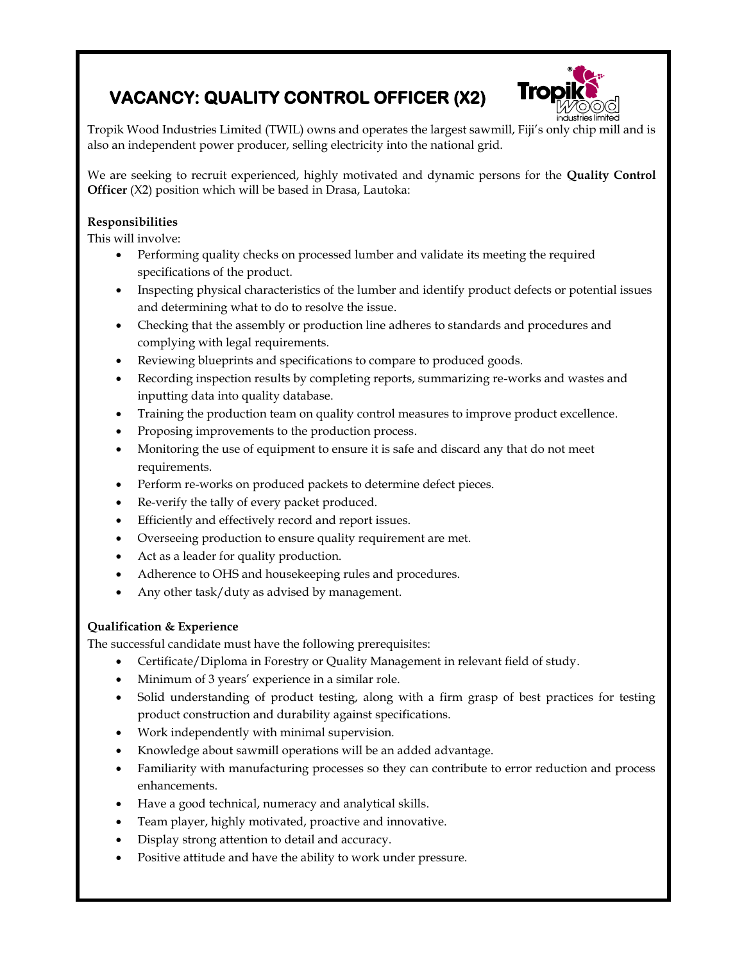## **VACANCY: QUALITY CONTROL OFFICER (X2)**



Tropik Wood Industries Limited (TWIL) owns and operates the largest sawmill, Fiji's only chip mill and is also an independent power producer, selling electricity into the national grid.

We are seeking to recruit experienced, highly motivated and dynamic persons for the **Quality Control Officer** (X2) position which will be based in Drasa, Lautoka:

## **Responsibilities**

This will involve:

- Performing quality checks on processed lumber and validate its meeting the required specifications of the product.
- Inspecting physical characteristics of the lumber and identify product defects or potential issues and determining what to do to resolve the issue.
- Checking that the assembly or production line adheres to standards and procedures and complying with legal requirements.
- Reviewing blueprints and specifications to compare to produced goods.
- Recording inspection results by completing reports, summarizing re-works and wastes and inputting data into quality database.
- Training the production team on quality control measures to improve product excellence.
- Proposing improvements to the production process.
- Monitoring the use of equipment to ensure it is safe and discard any that do not meet requirements.
- Perform re-works on produced packets to determine defect pieces.
- Re-verify the tally of every packet produced.
- Efficiently and effectively record and report issues.
- Overseeing production to ensure quality requirement are met.
- Act as a leader for quality production.
- Adherence to OHS and housekeeping rules and procedures.
- Any other task/duty as advised by management.

## **Qualification & Experience**

The successful candidate must have the following prerequisites:

- Certificate/Diploma in Forestry or Quality Management in relevant field of study.
- Minimum of 3 years' experience in a similar role.
- Solid understanding of product testing, along with a firm grasp of best practices for testing product construction and durability against specifications.
- Work independently with minimal supervision.
- Knowledge about sawmill operations will be an added advantage.
- Familiarity with manufacturing processes so they can contribute to error reduction and process enhancements.
- Have a good technical, numeracy and analytical skills.
- Team player, highly motivated, proactive and innovative.
- Display strong attention to detail and accuracy.
- Positive attitude and have the ability to work under pressure.